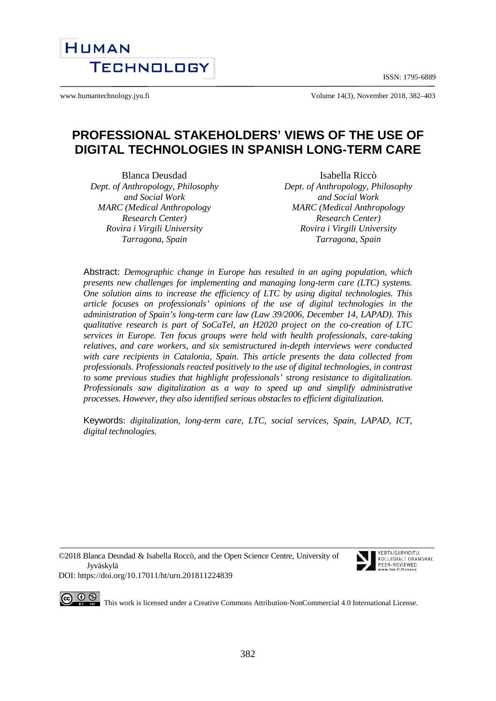ISSN: 1795-6889



www.humantechnology.jyu.fi Volume 14(3), November 2018, 382–403

# **PROFESSIONAL STAKEHOLDERS' VIEWS OF THE USE OF DIGITAL TECHNOLOGIES IN SPANISH LONG-TERM CARE**

Blanca Deusdad *Dept. of Anthropology, Philosophy and Social Work MARC (Medical Anthropology Research Center) Rovira i Virgili University Tarragona, Spain*

Isabella Riccò *Dept. of Anthropology, Philosophy and Social Work MARC (Medical Anthropology Research Center) Rovira i Virgili University Tarragona, Spain*

Abstract: *Demographic change in Europe has resulted in an aging population, which presents new challenges for implementing and managing long-term care (LTC) systems. One solution aims to increase the efficiency of LTC by using digital technologies. This article focuses on professionals' opinions of the use of digital technologies in the administration of Spain's long-term care law (Law 39/2006, December 14, LAPAD). This qualitative research is part of SoCaTel, an H2020 project on the co-creation of LTC services in Europe. Ten focus groups were held with health professionals, care-taking relatives, and care workers, and six semistructured in-depth interviews were conducted with care recipients in Catalonia, Spain. This article presents the data collected from professionals. Professionals reacted positively to the use of digital technologies, in contrast to some previous studies that highlight professionals' strong resistance to digitalization. Professionals saw digitalization as a way to speed up and simplify administrative processes. However, they also identified serious obstacles to efficient digitalization.*

Keywords: *digitalization, long-term care, LTC, social services, Spain, LAPAD, ICT, digital technologies.*

©2018 Blanca Deusdad & Isabella Roccò, and the Open Science Centre, University of Jyväskylä DOI:<https://doi.org/10.17011/ht/urn.201811224839>



VERTAISARVIOITU KOLLEGIALT GRANSKAD PEER-REVIEWED  $t \sim 11/100$ 

 $\odot$ This work is licensed under [a Creative Commons Attribution-NonCommercial 4.0 International License.](http://creativecommons.org/licenses/by-nc/4.0/)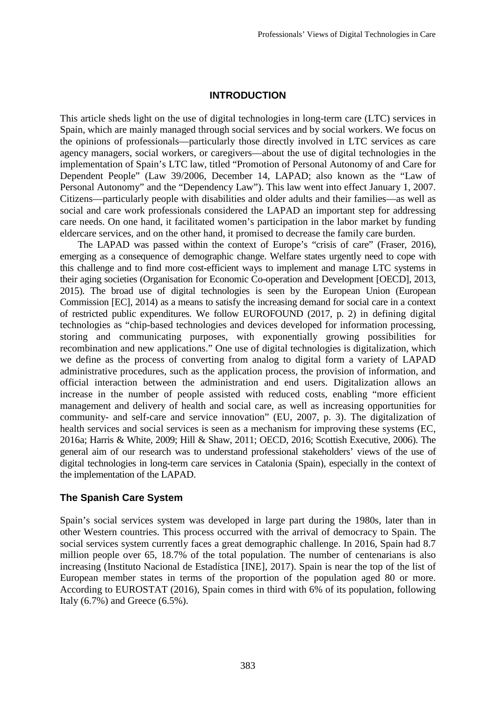### **INTRODUCTION**

This article sheds light on the use of digital technologies in long-term care (LTC) services in Spain, which are mainly managed through social services and by social workers. We focus on the opinions of professionals—particularly those directly involved in LTC services as care agency managers, social workers, or caregivers—about the use of digital technologies in the implementation of Spain's LTC law, titled "Promotion of Personal Autonomy of and Care for Dependent People" (Law 39/2006, December 14, LAPAD; also known as the "Law of Personal Autonomy" and the "Dependency Law"). This law went into effect January 1, 2007. Citizens—particularly people with disabilities and older adults and their families—as well as social and care work professionals considered the LAPAD an important step for addressing care needs. On one hand, it facilitated women's participation in the labor market by funding eldercare services, and on the other hand, it promised to decrease the family care burden.

The LAPAD was passed within the context of Europe's "crisis of care" (Fraser, 2016), emerging as a consequence of demographic change. Welfare states urgently need to cope with this challenge and to find more cost-efficient ways to implement and manage LTC systems in their aging societies (Organisation for Economic Co-operation and Development [OECD], 2013, 2015). The broad use of digital technologies is seen by the European Union (European Commission [EC], 2014) as a means to satisfy the increasing demand for social care in a context of restricted public expenditures. We follow EUROFOUND (2017, p. 2) in defining digital technologies as "chip-based technologies and devices developed for information processing, storing and communicating purposes, with exponentially growing possibilities for recombination and new applications." One use of digital technologies is digitalization, which we define as the process of converting from analog to digital form a variety of LAPAD administrative procedures, such as the application process, the provision of information, and official interaction between the administration and end users. Digitalization allows an increase in the number of people assisted with reduced costs, enabling "more efficient management and delivery of health and social care, as well as increasing opportunities for community- and self-care and service innovation" (EU, 2007, p. 3). The digitalization of health services and social services is seen as a mechanism for improving these systems (EC, 2016a; Harris & White, 2009; Hill & Shaw, 2011; OECD, 2016; Scottish Executive, 2006). The general aim of our research was to understand professional stakeholders' views of the use of digital technologies in long-term care services in Catalonia (Spain), especially in the context of the implementation of the LAPAD.

### **The Spanish Care System**

Spain's social services system was developed in large part during the 1980s, later than in other Western countries. This process occurred with the arrival of democracy to Spain. The social services system currently faces a great demographic challenge. In 2016, Spain had 8.7 million people over 65, 18.7% of the total population. The number of centenarians is also increasing (Instituto Nacional de Estadística [INE], 2017). Spain is near the top of the list of European member states in terms of the proportion of the population aged 80 or more. According to EUROSTAT (2016), Spain comes in third with 6% of its population, following Italy  $(6.7\%)$  and Greece  $(6.5\%)$ .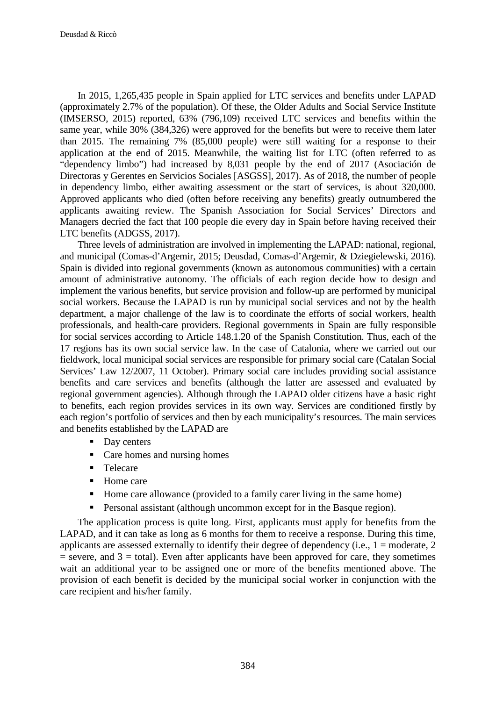In 2015, 1,265,435 people in Spain applied for LTC services and benefits under LAPAD (approximately 2.7% of the population). Of these, the Older Adults and Social Service Institute (IMSERSO, 2015) reported, 63% (796,109) received LTC services and benefits within the same year, while 30% (384,326) were approved for the benefits but were to receive them later than 2015. The remaining 7% (85,000 people) were still waiting for a response to their application at the end of 2015. Meanwhile, the waiting list for LTC (often referred to as "dependency limbo") had increased by 8,031 people by the end of 2017 (Asociación de Directoras y Gerentes en Servicios Sociales [ASGSS], 2017). As of 2018, the number of people in dependency limbo, either awaiting assessment or the start of services, is about 320,000. Approved applicants who died (often before receiving any benefits) greatly outnumbered the applicants awaiting review. The Spanish Association for Social Services' Directors and Managers decried the fact that 100 people die every day in Spain before having received their LTC benefits (ADGSS, 2017).

Three levels of administration are involved in implementing the LAPAD: national, regional, and municipal (Comas-d'Argemir, 2015; Deusdad, Comas-d'Argemir, & Dziegielewski, 2016). Spain is divided into regional governments (known as autonomous communities) with a certain amount of administrative autonomy. The officials of each region decide how to design and implement the various benefits, but service provision and follow-up are performed by municipal social workers. Because the LAPAD is run by municipal social services and not by the health department, a major challenge of the law is to coordinate the efforts of social workers, health professionals, and health-care providers. Regional governments in Spain are fully responsible for social services according to Article 148.1.20 of the Spanish Constitution. Thus, each of the 17 regions has its own social service law. In the case of Catalonia, where we carried out our fieldwork, local municipal social services are responsible for primary social care (Catalan Social Services' Law 12/2007, 11 October). Primary social care includes providing social assistance benefits and care services and benefits (although the latter are assessed and evaluated by regional government agencies). Although through the LAPAD older citizens have a basic right to benefits, each region provides services in its own way. Services are conditioned firstly by each region's portfolio of services and then by each municipality's resources. The main services and benefits established by the LAPAD are

- Day centers
- Care homes and nursing homes
- **Telecare**
- Home care
- Home care allowance (provided to a family carer living in the same home)
- **Personal assistant (although uncommon except for in the Basque region).**

The application process is quite long. First, applicants must apply for benefits from the LAPAD, and it can take as long as 6 months for them to receive a response. During this time, applicants are assessed externally to identify their degree of dependency (i.e.,  $1 =$  moderate,  $2$  $=$  severe, and  $3 =$  total). Even after applicants have been approved for care, they sometimes wait an additional year to be assigned one or more of the benefits mentioned above. The provision of each benefit is decided by the municipal social worker in conjunction with the care recipient and his/her family.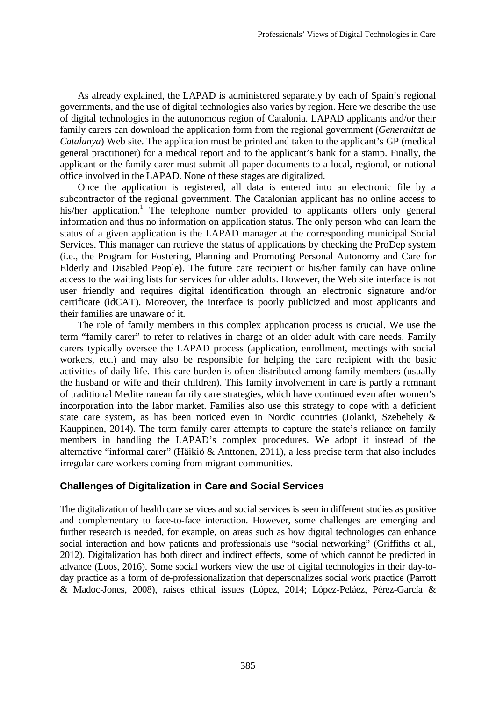As already explained, the LAPAD is administered separately by each of Spain's regional governments, and the use of digital technologies also varies by region. Here we describe the use of digital technologies in the autonomous region of Catalonia. LAPAD applicants and/or their family carers can download the application form from the regional government (*Generalitat de Catalunya*) Web site. The application must be printed and taken to the applicant's GP (medical general practitioner) for a medical report and to the applicant's bank for a stamp. Finally, the applicant or the family carer must submit all paper documents to a local, regional, or national office involved in the LAPAD. None of these stages are digitalized.

Once the application is registered, all data is entered into an electronic file by a subcontractor of the regional government. The Catalonian applicant has no online access to his/her application.<sup>1</sup> The telephone number provided to applicants offers only general information and thus no information on application status. The only person who can learn the status of a given application is the LAPAD manager at the corresponding municipal Social Services. This manager can retrieve the status of applications by checking the ProDep system (i.e., the Program for Fostering, Planning and Promoting Personal Autonomy and Care for Elderly and Disabled People). The future care recipient or his/her family can have online access to the waiting lists for services for older adults. However, the Web site interface is not user friendly and requires digital identification through an electronic signature and/or certificate (idCAT). Moreover, the interface is poorly publicized and most applicants and their families are unaware of it.

The role of family members in this complex application process is crucial. We use the term "family carer" to refer to relatives in charge of an older adult with care needs. Family carers typically oversee the LAPAD process (application, enrollment, meetings with social workers, etc.) and may also be responsible for helping the care recipient with the basic activities of daily life. This care burden is often distributed among family members (usually the husband or wife and their children). This family involvement in care is partly a remnant of traditional Mediterranean family care strategies, which have continued even after women's incorporation into the labor market. Families also use this strategy to cope with a deficient state care system, as has been noticed even in Nordic countries (Jolanki, Szebehely & Kauppinen, 2014). The term family carer attempts to capture the state's reliance on family members in handling the LAPAD's complex procedures. We adopt it instead of the alternative "informal carer" (Häikiö & Anttonen, 2011), a less precise term that also includes irregular care workers coming from migrant communities.

### **Challenges of Digitalization in Care and Social Services**

The digitalization of health care services and social services is seen in different studies as positive and complementary to face-to-face interaction. However, some challenges are emerging and further research is needed, for example, on areas such as how digital technologies can enhance social interaction and how patients and professionals use "social networking" (Griffiths et al., 2012). Digitalization has both direct and indirect effects, some of which cannot be predicted in advance (Loos, 2016). Some social workers view the use of digital technologies in their day-today practice as a form of de-professionalization that depersonalizes social work practice (Parrott & Madoc-Jones, 2008), raises ethical issues (López, 2014; López-Peláez, Pérez-García &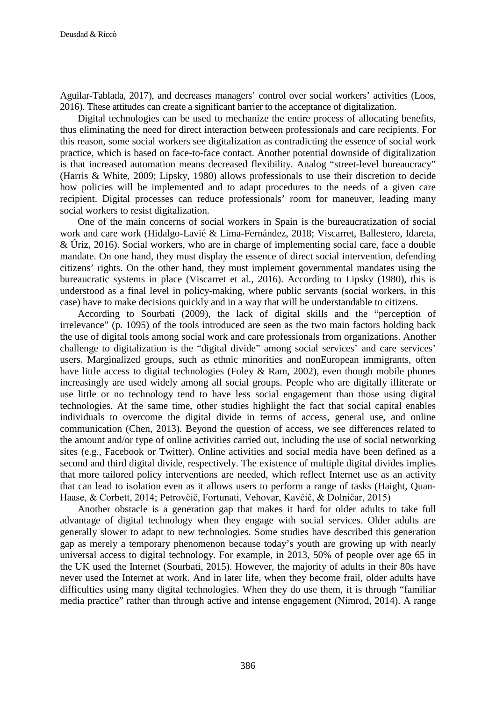Aguilar-Tablada, 2017), and decreases managers' control over social workers' activities (Loos, 2016). These attitudes can create a significant barrier to the acceptance of digitalization.

Digital technologies can be used to mechanize the entire process of allocating benefits, thus eliminating the need for direct interaction between professionals and care recipients. For this reason, some social workers see digitalization as contradicting the essence of social work practice, which is based on face-to-face contact. Another potential downside of digitalization is that increased automation means decreased flexibility. Analog "street-level bureaucracy" (Harris & White, 2009; Lipsky, 1980) allows professionals to use their discretion to decide how policies will be implemented and to adapt procedures to the needs of a given care recipient. Digital processes can reduce professionals' room for maneuver, leading many social workers to resist digitalization.

One of the main concerns of social workers in Spain is the bureaucratization of social work and care work (Hidalgo-Lavié & Lima-Fernández, 2018; Viscarret, Ballestero, Idareta, & Úriz, 2016). Social workers, who are in charge of implementing social care, face a double mandate. On one hand, they must display the essence of direct social intervention, defending citizens' rights. On the other hand, they must implement governmental mandates using the bureaucratic systems in place (Viscarret et al., 2016). According to Lipsky (1980), this is understood as a final level in policy-making, where public servants (social workers, in this case) have to make decisions quickly and in a way that will be understandable to citizens.

According to Sourbati (2009), the lack of digital skills and the "perception of irrelevance" (p. 1095) of the tools introduced are seen as the two main factors holding back the use of digital tools among social work and care professionals from organizations. Another challenge to digitalization is the "digital divide" among social services' and care services' users. Marginalized groups, such as ethnic minorities and nonEuropean immigrants, often have little access to digital technologies (Foley & Ram, 2002), even though mobile phones increasingly are used widely among all social groups. People who are digitally illiterate or use little or no technology tend to have less social engagement than those using digital technologies. At the same time, other studies highlight the fact that social capital enables individuals to overcome the digital divide in terms of access, general use, and online communication (Chen, 2013). Beyond the question of access, we see differences related to the amount and/or type of online activities carried out, including the use of social networking sites (e.g., Facebook or Twitter). Online activities and social media have been defined as a second and third digital divide, respectively. The existence of multiple digital divides implies that more tailored policy interventions are needed, which reflect Internet use as an activity that can lead to isolation even as it allows users to perform a range of tasks (Haight, Quan-Haase, & Corbett, 2014; Petrovčič, Fortunati, Vehovar, Kavčič, & Dolničar, 2015)

Another obstacle is a generation gap that makes it hard for older adults to take full advantage of digital technology when they engage with social services. Older adults are generally slower to adapt to new technologies. Some studies have described this generation gap as merely a temporary phenomenon because today's youth are growing up with nearly universal access to digital technology. For example, in 2013, 50% of people over age 65 in the UK used the Internet (Sourbati, 2015). However, the majority of adults in their 80s have never used the Internet at work. And in later life, when they become frail, older adults have difficulties using many digital technologies. When they do use them, it is through "familiar media practice" rather than through active and intense engagement (Nimrod, 2014). A range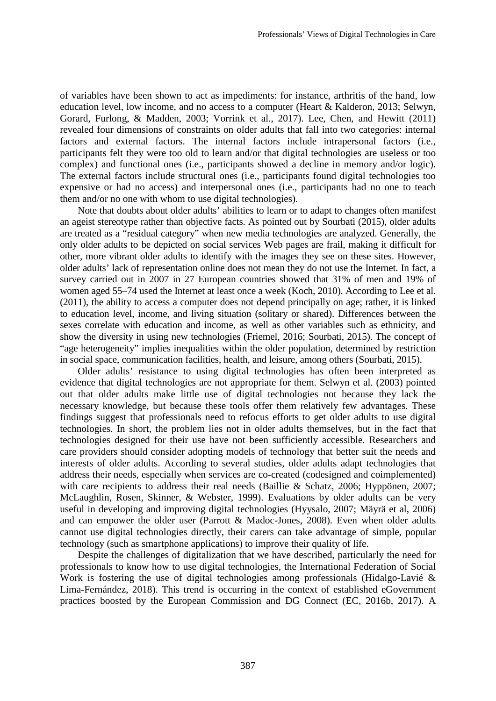of variables have been shown to act as impediments: for instance, arthritis of the hand, low education level, low income, and no access to a computer (Heart & Kalderon, 2013; Selwyn, Gorard, Furlong, & Madden, 2003; Vorrink et al., 2017). Lee, Chen, and Hewitt (2011) revealed four dimensions of constraints on older adults that fall into two categories: internal factors and external factors. The internal factors include intrapersonal factors (i.e., participants felt they were too old to learn and/or that digital technologies are useless or too complex) and functional ones (i.e., participants showed a decline in memory and/or logic). The external factors include structural ones (i.e., participants found digital technologies too expensive or had no access) and interpersonal ones (i.e., participants had no one to teach them and/or no one with whom to use digital technologies).

Note that doubts about older adults' abilities to learn or to adapt to changes often manifest an ageist stereotype rather than objective facts. As pointed out by Sourbati (2015), older adults are treated as a "residual category" when new media technologies are analyzed. Generally, the only older adults to be depicted on social services Web pages are frail, making it difficult for other, more vibrant older adults to identify with the images they see on these sites. However, older adults' lack of representation online does not mean they do not use the Internet. In fact, a survey carried out in 2007 in 27 European countries showed that 31% of men and 19% of women aged 55–74 used the Internet at least once a week (Koch, 2010). According to Lee et al. (2011), the ability to access a computer does not depend principally on age; rather, it is linked to education level, income, and living situation (solitary or shared). Differences between the sexes correlate with education and income, as well as other variables such as ethnicity, and show the diversity in using new technologies (Friemel, 2016; Sourbati, 2015). The concept of "age heterogeneity" implies inequalities within the older population, determined by restriction in social space, communication facilities, health, and leisure, among others (Sourbati, 2015).

Older adults' resistance to using digital technologies has often been interpreted as evidence that digital technologies are not appropriate for them. Selwyn et al. (2003) pointed out that older adults make little use of digital technologies not because they lack the necessary knowledge, but because these tools offer them relatively few advantages. These findings suggest that professionals need to refocus efforts to get older adults to use digital technologies. In short, the problem lies not in older adults themselves, but in the fact that technologies designed for their use have not been sufficiently accessible. Researchers and care providers should consider adopting models of technology that better suit the needs and interests of older adults. According to several studies, older adults adapt technologies that address their needs, especially when services are co-created (codesigned and coimplemented) with care recipients to address their real needs (Baillie & Schatz, 2006; Hyppönen, 2007; McLaughlin, Rosen, Skinner, & Webster, 1999). Evaluations by older adults can be very useful in developing and improving digital technologies (Hyysalo, 2007; Mäyrä et al, 2006) and can empower the older user (Parrott & Madoc-Jones, 2008). Even when older adults cannot use digital technologies directly, their carers can take advantage of simple, popular technology (such as smartphone applications) to improve their quality of life.

Despite the challenges of digitalization that we have described, particularly the need for professionals to know how to use digital technologies, the International Federation of Social Work is fostering the use of digital technologies among professionals (Hidalgo-Lavié & Lima-Fernández, 2018). This trend is occurring in the context of established eGovernment practices boosted by the European Commission and DG Connect (EC, 2016b, 2017). A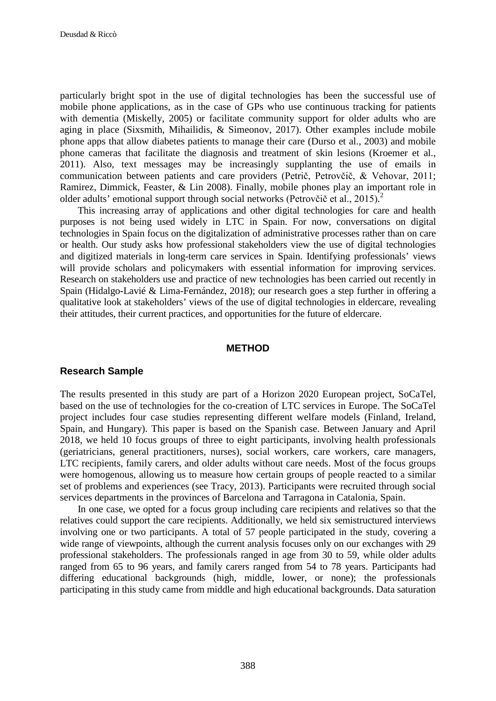particularly bright spot in the use of digital technologies has been the successful use of mobile phone applications, as in the case of GPs who use continuous tracking for patients with dementia (Miskelly, 2005) or facilitate community support for older adults who are aging in place (Sixsmith, Mihailidis, & Simeonov, 2017). Other examples include mobile phone apps that allow diabetes patients to manage their care (Durso et al., 2003) and mobile phone cameras that facilitate the diagnosis and treatment of skin lesions (Kroemer et al., 2011). Also, text messages may be increasingly supplanting the use of emails in communication between patients and care providers (Petrič, Petrovčič, & Vehovar, 2011; Ramirez, Dimmick, Feaster, & Lin 2008). Finally, mobile phones play an important role in older adults' emotional support through social networks (Petrovčič et al., 2015). 2

This increasing array of applications and other digital technologies for care and health purposes is not being used widely in LTC in Spain. For now, conversations on digital technologies in Spain focus on the digitalization of administrative processes rather than on care or health. Our study asks how professional stakeholders view the use of digital technologies and digitized materials in long-term care services in Spain. Identifying professionals' views will provide scholars and policymakers with essential information for improving services. Research on stakeholders use and practice of new technologies has been carried out recently in Spain (Hidalgo-Lavié & Lima-Fernández, 2018); our research goes a step further in offering a qualitative look at stakeholders' views of the use of digital technologies in eldercare, revealing their attitudes, their current practices, and opportunities for the future of eldercare.

#### **METHOD**

#### **Research Sample**

The results presented in this study are part of a Horizon 2020 European project, SoCaTel, based on the use of technologies for the co-creation of LTC services in Europe. The SoCaTel project includes four case studies representing different welfare models (Finland, Ireland, Spain, and Hungary). This paper is based on the Spanish case. Between January and April 2018, we held 10 focus groups of three to eight participants, involving health professionals (geriatricians, general practitioners, nurses), social workers, care workers, care managers, LTC recipients, family carers, and older adults without care needs. Most of the focus groups were homogenous, allowing us to measure how certain groups of people reacted to a similar set of problems and experiences (see Tracy, 2013). Participants were recruited through social services departments in the provinces of Barcelona and Tarragona in Catalonia, Spain.

In one case, we opted for a focus group including care recipients and relatives so that the relatives could support the care recipients. Additionally, we held six semistructured interviews involving one or two participants. A total of 57 people participated in the study, covering a wide range of viewpoints, although the current analysis focuses only on our exchanges with 29 professional stakeholders. The professionals ranged in age from 30 to 59, while older adults ranged from 65 to 96 years, and family carers ranged from 54 to 78 years. Participants had differing educational backgrounds (high, middle, lower, or none); the professionals participating in this study came from middle and high educational backgrounds. Data saturation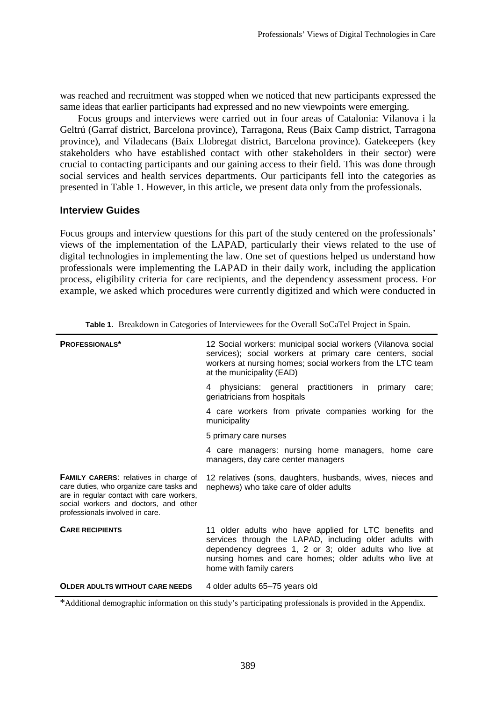was reached and recruitment was stopped when we noticed that new participants expressed the same ideas that earlier participants had expressed and no new viewpoints were emerging.

Focus groups and interviews were carried out in four areas of Catalonia: Vilanova i la Geltrú (Garraf district, Barcelona province), Tarragona, Reus (Baix Camp district, Tarragona province), and Viladecans (Baix Llobregat district, Barcelona province). Gatekeepers (key stakeholders who have established contact with other stakeholders in their sector) were crucial to contacting participants and our gaining access to their field. This was done through social services and health services departments. Our participants fell into the categories as presented in Table 1. However, in this article, we present data only from the professionals.

### **Interview Guides**

Focus groups and interview questions for this part of the study centered on the professionals' views of the implementation of the LAPAD, particularly their views related to the use of digital technologies in implementing the law. One set of questions helped us understand how professionals were implementing the LAPAD in their daily work, including the application process, eligibility criteria for care recipients, and the dependency assessment process. For example, we asked which procedures were currently digitized and which were conducted in

| <b>PROFESSIONALS*</b>                                                                                                                                                                                             | 12 Social workers: municipal social workers (Vilanova social<br>services); social workers at primary care centers, social<br>workers at nursing homes; social workers from the LTC team<br>at the municipality (EAD)                                            |  |  |
|-------------------------------------------------------------------------------------------------------------------------------------------------------------------------------------------------------------------|-----------------------------------------------------------------------------------------------------------------------------------------------------------------------------------------------------------------------------------------------------------------|--|--|
|                                                                                                                                                                                                                   | 4 physicians: general practitioners in primary<br>care:<br>geriatricians from hospitals                                                                                                                                                                         |  |  |
|                                                                                                                                                                                                                   | 4 care workers from private companies working for the<br>municipality                                                                                                                                                                                           |  |  |
|                                                                                                                                                                                                                   | 5 primary care nurses                                                                                                                                                                                                                                           |  |  |
|                                                                                                                                                                                                                   | 4 care managers: nursing home managers, home care<br>managers, day care center managers                                                                                                                                                                         |  |  |
| <b>FAMILY CARERS:</b> relatives in charge of<br>care duties, who organize care tasks and<br>are in regular contact with care workers,<br>social workers and doctors, and other<br>professionals involved in care. | 12 relatives (sons, daughters, husbands, wives, nieces and<br>nephews) who take care of older adults                                                                                                                                                            |  |  |
| <b>CARE RECIPIENTS</b>                                                                                                                                                                                            | 11 older adults who have applied for LTC benefits and<br>services through the LAPAD, including older adults with<br>dependency degrees 1, 2 or 3; older adults who live at<br>nursing homes and care homes; older adults who live at<br>home with family carers |  |  |
| <b>OLDER ADULTS WITHOUT CARE NEEDS</b>                                                                                                                                                                            | 4 older adults 65–75 years old                                                                                                                                                                                                                                  |  |  |

**Table 1.** Breakdown in Categories of Interviewees for the Overall SoCaTel Project in Spain.

\*Additional demographic information on this study's participating professionals is provided in the Appendix.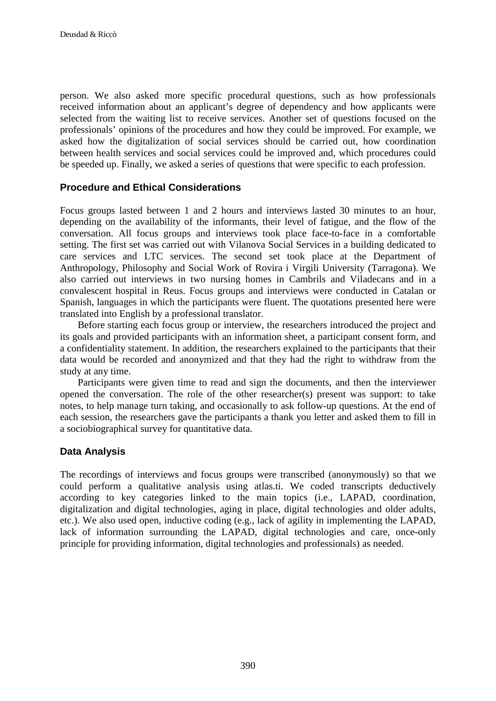person. We also asked more specific procedural questions, such as how professionals received information about an applicant's degree of dependency and how applicants were selected from the waiting list to receive services. Another set of questions focused on the professionals' opinions of the procedures and how they could be improved. For example, we asked how the digitalization of social services should be carried out, how coordination between health services and social services could be improved and, which procedures could be speeded up. Finally, we asked a series of questions that were specific to each profession.

### **Procedure and Ethical Considerations**

Focus groups lasted between 1 and 2 hours and interviews lasted 30 minutes to an hour, depending on the availability of the informants, their level of fatigue, and the flow of the conversation. All focus groups and interviews took place face-to-face in a comfortable setting. The first set was carried out with Vilanova Social Services in a building dedicated to care services and LTC services. The second set took place at the Department of Anthropology, Philosophy and Social Work of Rovira i Virgili University (Tarragona). We also carried out interviews in two nursing homes in Cambrils and Viladecans and in a convalescent hospital in Reus. Focus groups and interviews were conducted in Catalan or Spanish, languages in which the participants were fluent. The quotations presented here were translated into English by a professional translator.

Before starting each focus group or interview, the researchers introduced the project and its goals and provided participants with an information sheet, a participant consent form, and a confidentiality statement. In addition, the researchers explained to the participants that their data would be recorded and anonymized and that they had the right to withdraw from the study at any time.

Participants were given time to read and sign the documents, and then the interviewer opened the conversation. The role of the other researcher(s) present was support: to take notes, to help manage turn taking, and occasionally to ask follow-up questions. At the end of each session, the researchers gave the participants a thank you letter and asked them to fill in a sociobiographical survey for quantitative data.

### **Data Analysis**

The recordings of interviews and focus groups were transcribed (anonymously) so that we could perform a qualitative analysis using atlas.ti. We coded transcripts deductively according to key categories linked to the main topics (i.e., LAPAD, coordination, digitalization and digital technologies, aging in place, digital technologies and older adults, etc.). We also used open, inductive coding (e.g., lack of agility in implementing the LAPAD, lack of information surrounding the LAPAD, digital technologies and care, once-only principle for providing information, digital technologies and professionals) as needed.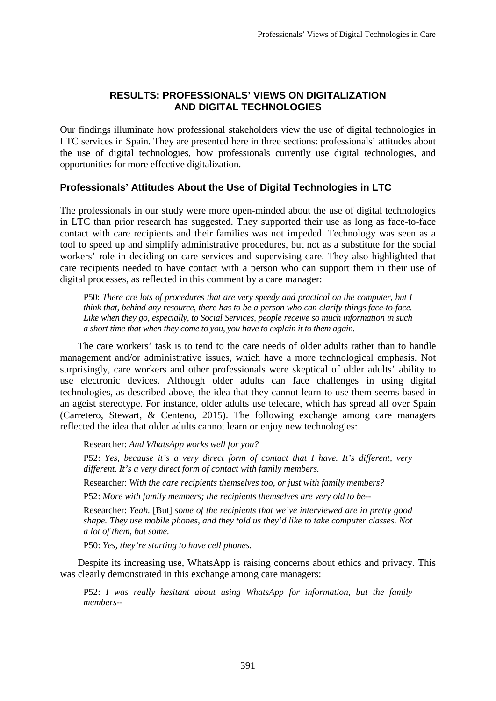## **RESULTS: PROFESSIONALS' VIEWS ON DIGITALIZATION AND DIGITAL TECHNOLOGIES**

Our findings illuminate how professional stakeholders view the use of digital technologies in LTC services in Spain. They are presented here in three sections: professionals' attitudes about the use of digital technologies, how professionals currently use digital technologies, and opportunities for more effective digitalization.

## **Professionals' Attitudes About the Use of Digital Technologies in LTC**

The professionals in our study were more open-minded about the use of digital technologies in LTC than prior research has suggested. They supported their use as long as face-to-face contact with care recipients and their families was not impeded. Technology was seen as a tool to speed up and simplify administrative procedures, but not as a substitute for the social workers' role in deciding on care services and supervising care. They also highlighted that care recipients needed to have contact with a person who can support them in their use of digital processes, as reflected in this comment by a care manager:

P50: *There are lots of procedures that are very speedy and practical on the computer, but I think that, behind any resource, there has to be a person who can clarify things face-to-face. Like when they go, especially, to Social Services, people receive so much information in such a short time that when they come to you, you have to explain it to them again.*

The care workers' task is to tend to the care needs of older adults rather than to handle management and/or administrative issues, which have a more technological emphasis. Not surprisingly, care workers and other professionals were skeptical of older adults' ability to use electronic devices. Although older adults can face challenges in using digital technologies, as described above, the idea that they cannot learn to use them seems based in an ageist stereotype. For instance, older adults use telecare, which has spread all over Spain (Carretero, Stewart, & Centeno, 2015). The following exchange among care managers reflected the idea that older adults cannot learn or enjoy new technologies:

Researcher: *And WhatsApp works well for you?*

P52: *Yes, because it's a very direct form of contact that I have. It's different, very different. It's a very direct form of contact with family members.*

Researcher: *With the care recipients themselves too, or just with family members?*

P52: *More with family members; the recipients themselves are very old to be--*

Researcher: *Yeah.* [But] *some of the recipients that we've interviewed are in pretty good shape. They use mobile phones, and they told us they'd like to take computer classes. Not a lot of them, but some.*

P50: *Yes, they're starting to have cell phones.*

Despite its increasing use, WhatsApp is raising concerns about ethics and privacy. This was clearly demonstrated in this exchange among care managers:

P52: *I was really hesitant about using WhatsApp for information, but the family members--*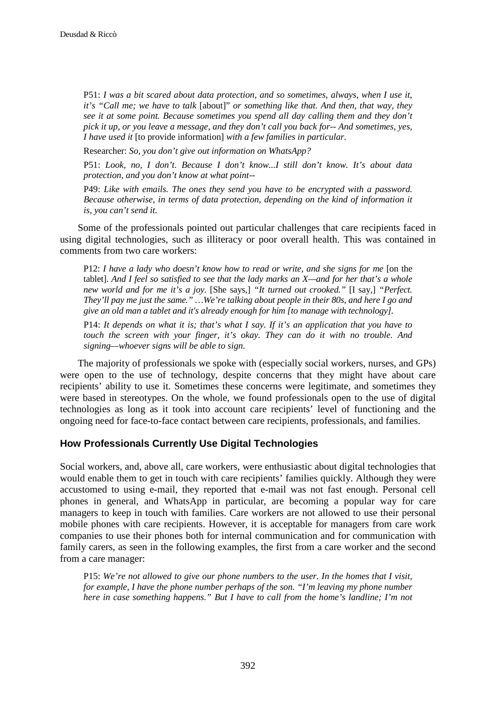P51: *I was a bit scared about data protection, and so sometimes, always, when I use it, it's "Call me; we have to talk* [about]" *or something like that. And then, that way, they see it at some point. Because sometimes you spend all day calling them and they don't pick it up, or you leave a message, and they don't call you back for-- And sometimes, yes, I have used it* [to provide information] *with a few families in particular.*

Researcher: *So, you don't give out information on WhatsApp?*

P51: *Look, no, I don't. Because I don't know...I still don't know. It's about data protection, and you don't know at what point*--

P49: *Like with emails. The ones they send you have to be encrypted with a password. Because otherwise, in terms of data protection, depending on the kind of information it is, you can't send it.*

Some of the professionals pointed out particular challenges that care recipients faced in using digital technologies, such as illiteracy or poor overall health. This was contained in comments from two care workers:

P12: *I have a lady who doesn't know how to read or write, and she signs for me* [on the tablet]. *And I feel so satisfied to see that the lady marks an X—and for her that's a whole new world and for me it's a joy.* [She says,] *"It turned out crooked."* [I say,] *"Perfect. They'll pay me just the same." …We're talking about people in their 80s, and here I go and give an old man a tablet and it's already enough for him [to manage with technology].* 

P14: *It depends on what it is; that's what I say. If it's an application that you have to touch the screen with your finger, it's okay. They can do it with no trouble. And signing—whoever signs will be able to sign.*

The majority of professionals we spoke with (especially social workers, nurses, and GPs) were open to the use of technology, despite concerns that they might have about care recipients' ability to use it. Sometimes these concerns were legitimate, and sometimes they were based in stereotypes. On the whole, we found professionals open to the use of digital technologies as long as it took into account care recipients' level of functioning and the ongoing need for face-to-face contact between care recipients, professionals, and families.

### **How Professionals Currently Use Digital Technologies**

Social workers, and, above all, care workers, were enthusiastic about digital technologies that would enable them to get in touch with care recipients' families quickly. Although they were accustomed to using e-mail, they reported that e-mail was not fast enough. Personal cell phones in general, and WhatsApp in particular, are becoming a popular way for care managers to keep in touch with families. Care workers are not allowed to use their personal mobile phones with care recipients. However, it is acceptable for managers from care work companies to use their phones both for internal communication and for communication with family carers, as seen in the following examples, the first from a care worker and the second from a care manager:

P15: *We're not allowed to give our phone numbers to the user. In the homes that I visit, for example, I have the phone number perhaps of the son. "I'm leaving my phone number here in case something happens." But I have to call from the home's landline; I'm not*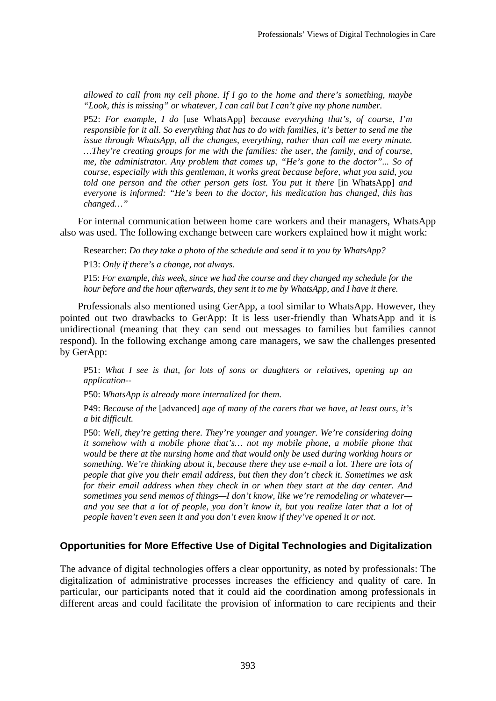*allowed to call from my cell phone. If I go to the home and there's something, maybe "Look, this is missing" or whatever, I can call but I can't give my phone number.*

P52: *For example, I do* [use WhatsApp] *because everything that's, of course, I'm responsible for it all. So everything that has to do with families, it's better to send me the issue through WhatsApp, all the changes, everything, rather than call me every minute. …They're creating groups for me with the families: the user, the family, and of course, me, the administrator. Any problem that comes up, "He's gone to the doctor"... So of course, especially with this gentleman, it works great because before, what you said, you told one person and the other person gets lost. You put it there* [in WhatsApp] *and everyone is informed: "He's been to the doctor, his medication has changed, this has changed…"*

For internal communication between home care workers and their managers, WhatsApp also was used. The following exchange between care workers explained how it might work:

Researcher: *Do they take a photo of the schedule and send it to you by WhatsApp?*

P13: *Only if there's a change, not always.*

P15: *For example, this week, since we had the course and they changed my schedule for the hour before and the hour afterwards, they sent it to me by WhatsApp, and I have it there.* 

Professionals also mentioned using GerApp, a tool similar to WhatsApp. However, they pointed out two drawbacks to GerApp: It is less user-friendly than WhatsApp and it is unidirectional (meaning that they can send out messages to families but families cannot respond). In the following exchange among care managers, we saw the challenges presented by GerApp:

P51: *What I see is that, for lots of sons or daughters or relatives, opening up an application--*

P50: *WhatsApp is already more internalized for them.*

P49: *Because of the* [advanced] *age of many of the carers that we have, at least ours, it's a bit difficult.*

P50: *Well, they're getting there. They're younger and younger. We're considering doing it somehow with a mobile phone that's… not my mobile phone, a mobile phone that would be there at the nursing home and that would only be used during working hours or something. We're thinking about it, because there they use e-mail a lot. There are lots of people that give you their email address, but then they don't check it. Sometimes we ask for their email address when they check in or when they start at the day center. And sometimes you send memos of things—I don't know, like we're remodeling or whatever and you see that a lot of people, you don't know it, but you realize later that a lot of people haven't even seen it and you don't even know if they've opened it or not.*

### **Opportunities for More Effective Use of Digital Technologies and Digitalization**

The advance of digital technologies offers a clear opportunity, as noted by professionals: The digitalization of administrative processes increases the efficiency and quality of care. In particular, our participants noted that it could aid the coordination among professionals in different areas and could facilitate the provision of information to care recipients and their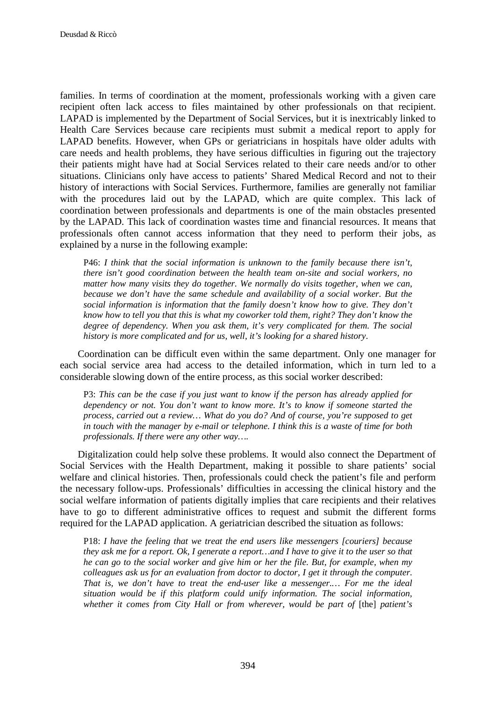families. In terms of coordination at the moment, professionals working with a given care recipient often lack access to files maintained by other professionals on that recipient. LAPAD is implemented by the Department of Social Services, but it is inextricably linked to Health Care Services because care recipients must submit a medical report to apply for LAPAD benefits. However, when GPs or geriatricians in hospitals have older adults with care needs and health problems, they have serious difficulties in figuring out the trajectory their patients might have had at Social Services related to their care needs and/or to other situations. Clinicians only have access to patients' Shared Medical Record and not to their history of interactions with Social Services. Furthermore, families are generally not familiar with the procedures laid out by the LAPAD, which are quite complex. This lack of coordination between professionals and departments is one of the main obstacles presented by the LAPAD. This lack of coordination wastes time and financial resources. It means that professionals often cannot access information that they need to perform their jobs, as explained by a nurse in the following example:

P46: *I think that the social information is unknown to the family because there isn't, there isn't good coordination between the health team on-site and social workers, no matter how many visits they do together. We normally do visits together, when we can, because we don't have the same schedule and availability of a social worker. But the social information is information that the family doesn't know how to give. They don't know how to tell you that this is what my coworker told them, right? They don't know the degree of dependency. When you ask them, it's very complicated for them. The social history is more complicated and for us, well, it's looking for a shared history*.

Coordination can be difficult even within the same department. Only one manager for each social service area had access to the detailed information, which in turn led to a considerable slowing down of the entire process, as this social worker described:

P3: *This can be the case if you just want to know if the person has already applied for dependency or not. You don't want to know more. It's to know if someone started the process, carried out a review… What do you do? And of course, you're supposed to get in touch with the manager by e-mail or telephone. I think this is a waste of time for both professionals. If there were any other way….*

Digitalization could help solve these problems. It would also connect the Department of Social Services with the Health Department, making it possible to share patients' social welfare and clinical histories. Then, professionals could check the patient's file and perform the necessary follow-ups. Professionals' difficulties in accessing the clinical history and the social welfare information of patients digitally implies that care recipients and their relatives have to go to different administrative offices to request and submit the different forms required for the LAPAD application. A geriatrician described the situation as follows:

P18: *I have the feeling that we treat the end users like messengers [couriers] because they ask me for a report. Ok, I generate a report…and I have to give it to the user so that he can go to the social worker and give him or her the file. But, for example, when my colleagues ask us for an evaluation from doctor to doctor, I get it through the computer. That is, we don't have to treat the end-user like a messenger.… For me the ideal situation would be if this platform could unify information. The social information, whether it comes from City Hall or from wherever, would be part of* [the] *patient's*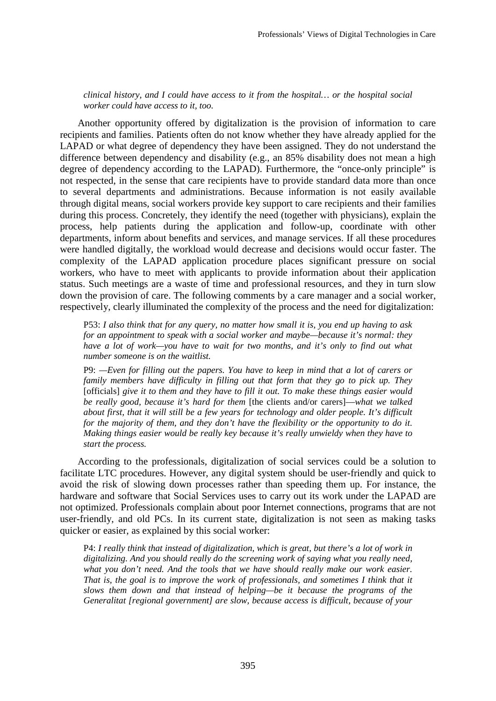*clinical history, and I could have access to it from the hospital… or the hospital social worker could have access to it, too.*

Another opportunity offered by digitalization is the provision of information to care recipients and families. Patients often do not know whether they have already applied for the LAPAD or what degree of dependency they have been assigned. They do not understand the difference between dependency and disability (e.g., an 85% disability does not mean a high degree of dependency according to the LAPAD). Furthermore, the "once-only principle" is not respected, in the sense that care recipients have to provide standard data more than once to several departments and administrations. Because information is not easily available through digital means, social workers provide key support to care recipients and their families during this process. Concretely, they identify the need (together with physicians), explain the process, help patients during the application and follow-up, coordinate with other departments, inform about benefits and services, and manage services. If all these procedures were handled digitally, the workload would decrease and decisions would occur faster. The complexity of the LAPAD application procedure places significant pressure on social workers, who have to meet with applicants to provide information about their application status. Such meetings are a waste of time and professional resources, and they in turn slow down the provision of care. The following comments by a care manager and a social worker, respectively, clearly illuminated the complexity of the process and the need for digitalization:

P53: *I also think that for any query, no matter how small it is, you end up having to ask for an appointment to speak with a social worker and maybe—because it's normal: they have a lot of work—you have to wait for two months, and it's only to find out what number someone is on the waitlist.* 

P9: *—Even for filling out the papers. You have to keep in mind that a lot of carers or family members have difficulty in filling out that form that they go to pick up. They* [officials] *give it to them and they have to fill it out. To make these things easier would be really good, because it's hard for them* [the clients and/or carers]—*what we talked about first, that it will still be a few years for technology and older people. It's difficult for the majority of them, and they don't have the flexibility or the opportunity to do it. Making things easier would be really key because it's really unwieldy when they have to start the process.* 

According to the professionals, digitalization of social services could be a solution to facilitate LTC procedures. However, any digital system should be user-friendly and quick to avoid the risk of slowing down processes rather than speeding them up. For instance, the hardware and software that Social Services uses to carry out its work under the LAPAD are not optimized. Professionals complain about poor Internet connections, programs that are not user-friendly, and old PCs. In its current state, digitalization is not seen as making tasks quicker or easier, as explained by this social worker:

P4: *I really think that instead of digitalization, which is great, but there's a lot of work in digitalizing. And you should really do the screening work of saying what you really need, what you don't need. And the tools that we have should really make our work easier. That is, the goal is to improve the work of professionals, and sometimes I think that it slows them down and that instead of helping—be it because the programs of the Generalitat [regional government] are slow, because access is difficult, because of your*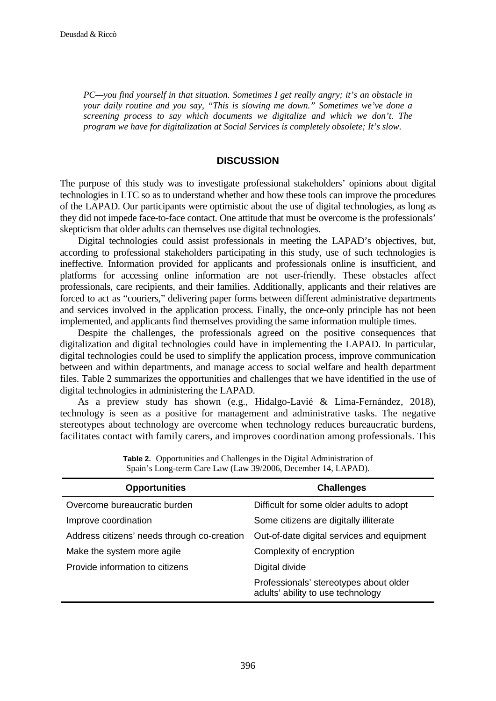*PC—you find yourself in that situation. Sometimes I get really angry; it's an obstacle in your daily routine and you say, "This is slowing me down." Sometimes we've done a screening process to say which documents we digitalize and which we don't. The program we have for digitalization at Social Services is completely obsolete; It's slow*.

#### **DISCUSSION**

The purpose of this study was to investigate professional stakeholders' opinions about digital technologies in LTC so as to understand whether and how these tools can improve the procedures of the LAPAD. Our participants were optimistic about the use of digital technologies, as long as they did not impede face-to-face contact. One attitude that must be overcome is the professionals' skepticism that older adults can themselves use digital technologies.

Digital technologies could assist professionals in meeting the LAPAD's objectives, but, according to professional stakeholders participating in this study, use of such technologies is ineffective. Information provided for applicants and professionals online is insufficient, and platforms for accessing online information are not user-friendly. These obstacles affect professionals, care recipients, and their families. Additionally, applicants and their relatives are forced to act as "couriers," delivering paper forms between different administrative departments and services involved in the application process. Finally, the once-only principle has not been implemented, and applicants find themselves providing the same information multiple times.

Despite the challenges, the professionals agreed on the positive consequences that digitalization and digital technologies could have in implementing the LAPAD. In particular, digital technologies could be used to simplify the application process, improve communication between and within departments, and manage access to social welfare and health department files. Table 2 summarizes the opportunities and challenges that we have identified in the use of digital technologies in administering the LAPAD.

As a preview study has shown (e.g., Hidalgo-Lavié & Lima-Fernández, 2018), technology is seen as a positive for management and administrative tasks. The negative stereotypes about technology are overcome when technology reduces bureaucratic burdens, facilitates contact with family carers, and improves coordination among professionals. This

| <b>Opportunities</b>                        | <b>Challenges</b>                                                           |  |  |
|---------------------------------------------|-----------------------------------------------------------------------------|--|--|
| Overcome bureaucratic burden                | Difficult for some older adults to adopt                                    |  |  |
| Improve coordination                        | Some citizens are digitally illiterate                                      |  |  |
| Address citizens' needs through co-creation | Out-of-date digital services and equipment                                  |  |  |
| Make the system more agile                  | Complexity of encryption                                                    |  |  |
| Provide information to citizens             | Digital divide                                                              |  |  |
|                                             | Professionals' stereotypes about older<br>adults' ability to use technology |  |  |

**Table 2.** Opportunities and Challenges in the Digital Administration of Spain's Long-term Care Law (Law 39/2006, December 14, LAPAD).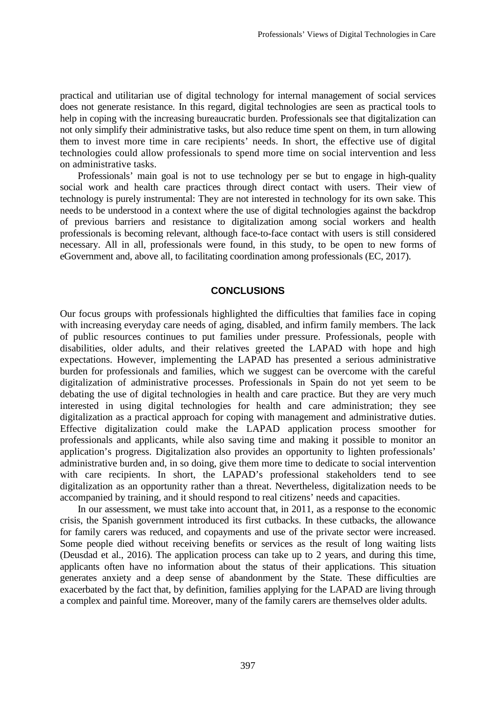practical and utilitarian use of digital technology for internal management of social services does not generate resistance. In this regard, digital technologies are seen as practical tools to help in coping with the increasing bureaucratic burden. Professionals see that digitalization can not only simplify their administrative tasks, but also reduce time spent on them, in turn allowing them to invest more time in care recipients' needs. In short, the effective use of digital technologies could allow professionals to spend more time on social intervention and less on administrative tasks.

Professionals' main goal is not to use technology per se but to engage in high-quality social work and health care practices through direct contact with users. Their view of technology is purely instrumental: They are not interested in technology for its own sake. This needs to be understood in a context where the use of digital technologies against the backdrop of previous barriers and resistance to digitalization among social workers and health professionals is becoming relevant, although face-to-face contact with users is still considered necessary. All in all, professionals were found, in this study, to be open to new forms of eGovernment and, above all, to facilitating coordination among professionals (EC, 2017).

### **CONCLUSIONS**

Our focus groups with professionals highlighted the difficulties that families face in coping with increasing everyday care needs of aging, disabled, and infirm family members. The lack of public resources continues to put families under pressure. Professionals, people with disabilities, older adults, and their relatives greeted the LAPAD with hope and high expectations. However, implementing the LAPAD has presented a serious administrative burden for professionals and families, which we suggest can be overcome with the careful digitalization of administrative processes. Professionals in Spain do not yet seem to be debating the use of digital technologies in health and care practice. But they are very much interested in using digital technologies for health and care administration; they see digitalization as a practical approach for coping with management and administrative duties. Effective digitalization could make the LAPAD application process smoother for professionals and applicants, while also saving time and making it possible to monitor an application's progress. Digitalization also provides an opportunity to lighten professionals' administrative burden and, in so doing, give them more time to dedicate to social intervention with care recipients. In short, the LAPAD's professional stakeholders tend to see digitalization as an opportunity rather than a threat. Nevertheless, digitalization needs to be accompanied by training, and it should respond to real citizens' needs and capacities.

In our assessment, we must take into account that, in 2011, as a response to the economic crisis, the Spanish government introduced its first cutbacks. In these cutbacks, the allowance for family carers was reduced, and copayments and use of the private sector were increased. Some people died without receiving benefits or services as the result of long waiting lists (Deusdad et al., 2016). The application process can take up to 2 years, and during this time, applicants often have no information about the status of their applications. This situation generates anxiety and a deep sense of abandonment by the State. These difficulties are exacerbated by the fact that, by definition, families applying for the LAPAD are living through a complex and painful time. Moreover, many of the family carers are themselves older adults.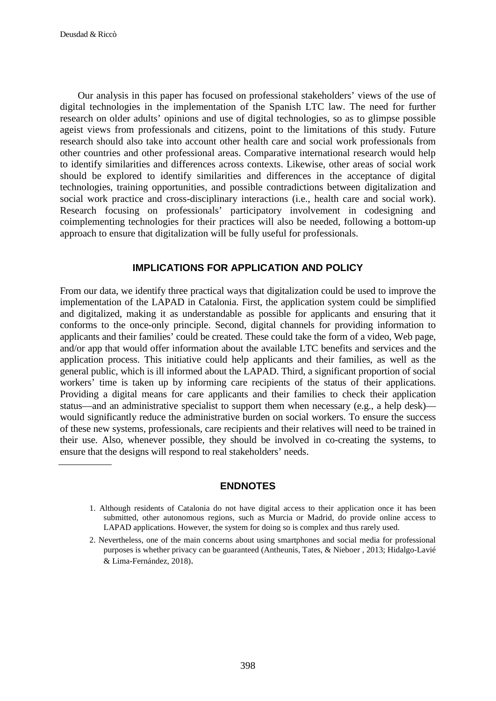Our analysis in this paper has focused on professional stakeholders' views of the use of digital technologies in the implementation of the Spanish LTC law. The need for further research on older adults' opinions and use of digital technologies, so as to glimpse possible ageist views from professionals and citizens, point to the limitations of this study. Future research should also take into account other health care and social work professionals from other countries and other professional areas. Comparative international research would help to identify similarities and differences across contexts. Likewise, other areas of social work should be explored to identify similarities and differences in the acceptance of digital technologies, training opportunities, and possible contradictions between digitalization and social work practice and cross-disciplinary interactions (i.e., health care and social work). Research focusing on professionals' participatory involvement in codesigning and coimplementing technologies for their practices will also be needed, following a bottom-up approach to ensure that digitalization will be fully useful for professionals.

### **IMPLICATIONS FOR APPLICATION AND POLICY**

From our data, we identify three practical ways that digitalization could be used to improve the implementation of the LAPAD in Catalonia. First, the application system could be simplified and digitalized, making it as understandable as possible for applicants and ensuring that it conforms to the once-only principle. Second, digital channels for providing information to applicants and their families' could be created. These could take the form of a video, Web page, and/or app that would offer information about the available LTC benefits and services and the application process. This initiative could help applicants and their families, as well as the general public, which is ill informed about the LAPAD. Third, a significant proportion of social workers' time is taken up by informing care recipients of the status of their applications. Providing a digital means for care applicants and their families to check their application status—and an administrative specialist to support them when necessary (e.g., a help desk) would significantly reduce the administrative burden on social workers. To ensure the success of these new systems, professionals, care recipients and their relatives will need to be trained in their use. Also, whenever possible, they should be involved in co-creating the systems, to ensure that the designs will respond to real stakeholders' needs.

### **ENDNOTES**

<sup>1.</sup> Although residents of Catalonia do not have digital access to their application once it has been submitted, other autonomous regions, such as Murcia or Madrid, do provide online access to LAPAD applications. However, the system for doing so is complex and thus rarely used.

<sup>2.</sup> Nevertheless, one of the main concerns about using smartphones and social media for professional purposes is whether privacy can be guaranteed (Antheunis, Tates, & Nieboer , 2013; Hidalgo-Lavié & Lima-Fernández, 2018).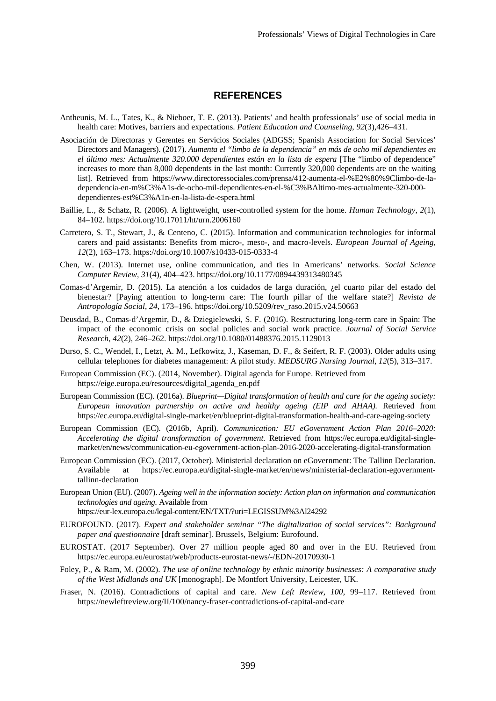#### **REFERENCES**

- Antheunis, M. L., Tates, K., & Nieboer, T. E. (2013). Patients' and health professionals' use of social media in health care: Motives, barriers and expectations. *Patient Education and Counseling*, *92*(3),426–431.
- Asociación de Directoras y Gerentes en Servicios Sociales (ADGSS; Spanish Association for Social Services' Directors and Managers). (2017). *Aumenta el "limbo de la dependencia" en más de ocho mil dependientes en el último mes: Actualmente 320.000 dependientes están en la lista de espera* [The "limbo of dependence" increases to more than 8,000 dependents in the last month: Currently 320,000 dependents are on the waiting list]. Retrieved from https://www.directoressociales.com/prensa/412-aumenta-el-%E2%80%9Climbo-de-ladependencia-en-m%C3%A1s-de-ocho-mil-dependientes-en-el-%C3%BAltimo-mes-actualmente-320-000 dependientes-est%C3%A1n-en-la-lista-de-espera.html
- Baillie, L., & Schatz, R. (2006). A lightweight, user-controlled system for the home. *Human Technology*, *2*(1), 84–102. https://doi.org/10.17011/ht/urn.2006160
- Carretero, S. T., Stewart, J., & Centeno, C. (2015). Information and communication technologies for informal carers and paid assistants: Benefits from micro-, meso-, and macro-levels. *European Journal of Ageing*, *12*(2), 163–173. https://doi.org/10.1007/s10433-015-0333-4
- Chen, W. (2013). Internet use, online communication, and ties in Americans' networks. *Social Science Computer Review*, *31*(4), 404–423. <https://doi.org/10.1177/0894439313480345>
- Comas-d'Argemir, D. (2015). La atención a los cuidados de larga duración, ¿el cuarto pilar del estado del bienestar? [Paying attention to long-term care: The fourth pillar of the welfare state?] *Revista de Antropología Social*, *24*, 173–196. https://doi.org/10.5209/rev\_raso.2015.v24.50663
- Deusdad, B., Comas-d'Argemir, D., & Dziegielewski, S. F. (2016). Restructuring long-term care in Spain: The impact of the economic crisis on social policies and social work practice. *Journal of Social Service Research*, *42*(2), 246–262. <https://doi.org/10.1080/01488376.2015.1129013>
- Durso, S. C., Wendel, I., Letzt, A. M., Lefkowitz, J., Kaseman, D. F., & Seifert, R. F. (2003). Older adults using cellular telephones for diabetes management: A pilot study. *MEDSURG Nursing Journal*, *12*(5), 313–317.
- European Commission (EC). (2014, November). Digital agenda for Europe. Retrieved from https://eige.europa.eu/resources/digital\_agenda\_en.pdf
- European Commission (EC). (2016a). *Blueprint—Digital transformation of health and care for the ageing society: European innovation partnership on active and healthy ageing (EIP and AHAA).* Retrieved from <https://ec.europa.eu/digital-single-market/en/blueprint-digital-transformation-health-and-care-ageing-society>
- European Commission (EC). (2016b, April). *Communication: EU eGovernment Action Plan 2016*–*2020: Accelerating the digital transformation of government*. Retrieved from [https://ec.europa.eu/digital-single](https://ec.europa.eu/digital-single-market/en/news/communication-eu-egovernment-action-plan-2016-2020-accelerating-digital-transformation)[market/en/news/communication-eu-egovernment-action-plan-2016-2020-accelerating-digital-transformation](https://ec.europa.eu/digital-single-market/en/news/communication-eu-egovernment-action-plan-2016-2020-accelerating-digital-transformation)
- European Commission (EC). (2017, October). Ministerial declaration on eGovernment: The Tallinn Declaration. at https://ec.europa.eu/digital-single-market/en/news/ministerial-declaration-egovernmenttallinn-declaration
- European Union (EU). (2007). *Ageing well in the information society: Action plan on information and communication technologies and ageing.* Available from https://eur-lex.europa.eu/legal-content/EN/TXT/?uri=LEGISSUM%3Al24292
- EUROFOUND. (2017). *Expert and stakeholder seminar "The digitalization of social services": Background paper and questionnaire* [draft seminar]. Brussels, Belgium: Eurofound.
- EUROSTAT. (2017 September). Over 27 million people aged 80 and over in the EU. Retrieved from <https://ec.europa.eu/eurostat/web/products-eurostat-news/-/EDN-20170930-1>
- Foley, P., & Ram, M. (2002). *The use of online technology by ethnic minority businesses: A comparative study of the West Midlands and UK* [monograph]. De Montfort University, Leicester, UK.
- Fraser, N. (2016). Contradictions of capital and care*. New Left Review, 100*, 99–117. Retrieved from <https://newleftreview.org/II/100/nancy-fraser-contradictions-of-capital-and-care>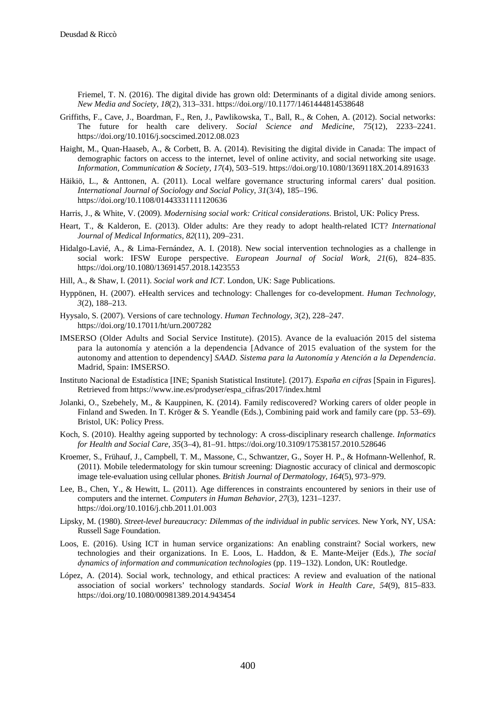Friemel, T. N. (2016). The digital divide has grown old: Determinants of a digital divide among seniors. *New Media and Society*, *18*(2), 313–331[. https://doi.org//10.1177/1461444814538648](https://doi.org/10.1177/1461444814538648)

- Griffiths, F., Cave, J., Boardman, F., Ren, J., Pawlikowska, T., Ball, R., & Cohen, A. (2012). Social networks: The future for health care delivery. *Social Science and Medicine*, *75*(12), 2233–2241[.](https://doi:10.1016/j.socscimed.2012.08.023) [https://doi.org/10.1016/j.socscimed.2012.08.023](https://doi:10.1016/j.socscimed.2012.08.023)
- Haight, M., Quan-Haaseb, A., & Corbett, B. A. (2014). Revisiting the digital divide in Canada: The impact of demographic factors on access to the internet, level of online activity, and social networking site usage. *Information, Communication & Society, 17*(4), 503–519.<https://doi.org/10.1080/1369118X.2014.891633>
- Häikiö, L., & Anttonen, A. (2011). Local welfare governance structuring informal carers' dual position. *International Journal of Sociology and Social Policy*, *31*(3/4), 185–196. https://doi.org/10.1108/01443331111120636
- Harris, J., & White, V. (2009). *Modernising social work: Critical considerations*. Bristol, UK: Policy Press.
- Heart, T., & Kalderon, E. (2013). Older adults: Are they ready to adopt health-related ICT? *International Journal of Medical Informatics, 82*(11), 209–231.
- Hidalgo-Lavié, A., & Lima-Fernández, A. I. (2018). New social intervention technologies as a challenge in social work: IFSW Europe perspective. *European Journal of Social Work*, *21*(6), 824–835. https://doi.org/10.1080/13691457.2018.1423553
- Hill, A., & Shaw, I. (2011). *Social work and ICT*. London, UK: Sage Publications.
- Hyppönen, H. (2007). eHealth services and technology: Challenges for co-development. *Human Technology, 3*(2), 188–213.
- Hyysalo, S. (2007). Versions of care technology. *Human Technology*, *3*(2), 228–247. https://doi.org/10.17011/ht/urn.2007282
- IMSERSO (Older Adults and Social Service Institute). (2015). Avance de la evaluación 2015 del sistema para la autonomía y atención a la dependencia [Advance of 2015 evaluation of the system for the autonomy and attention to dependency] *SAAD. Sistema para la Autonomía y Atención a la Dependencia*. Madrid, Spain: IMSERSO.
- Instituto Nacional de Estadística [INE; Spanish Statistical Institute]. (2017). *España en cifras* [Spain in Figures]. Retrieved from https://www.ine.es/prodyser/espa\_cifras/2017/index.html
- Jolanki, O., Szebehely, M., & Kauppinen, K. (2014). Family rediscovered? Working carers of older people in Finland and Sweden. In T. Kröger & S. Yeandle (Eds.), Combining paid work and family care (pp. 53–69). Bristol, UK: Policy Press.
- Koch, S. (2010). Healthy ageing supported by technology: A cross-disciplinary research challenge. *Informatics for Health and Social Care*, *35*(3–4), 81–91. <https://doi.org/10.3109/17538157.2010.528646>
- Kroemer, S., Frühauf, J., Campbell, T. M., Massone, C., Schwantzer, G., Soyer H. P., & Hofmann-Wellenhof, R. (2011). Mobile teledermatology for skin tumour screening: Diagnostic accuracy of clinical and dermoscopic image tele-evaluation using cellular phones. *British Journal of Dermatology, 164*(5), 973–979.
- Lee, B., Chen, Y., & Hewitt, L. (2011). Age differences in constraints encountered by seniors in their use of computers and the internet. *Computers in Human Behavior*, *27*(3), 1231–1237. https://doi.org/10.1016/j.chb.2011.01.003
- Lipsky, M. (1980). *Street-level bureaucracy: Dilemmas of the individual in public services*. New York, NY, USA: Russell Sage Foundation.
- Loos, E. (2016). Using ICT in human service organizations: An enabling constraint? Social workers, new technologies and their organizations. In E. Loos, L. Haddon, & E. Mante-Meijer (Eds.), *The social dynamics of information and communication technologies* (pp. 119–132). London, UK: Routledge.
- López, A. (2014). Social work, technology, and ethical practices: A review and evaluation of the national association of social workers' technology standards. *Social Work in Health Care, 54*(9), 815–833. https://doi.org/10.1080/00981389.2014.943454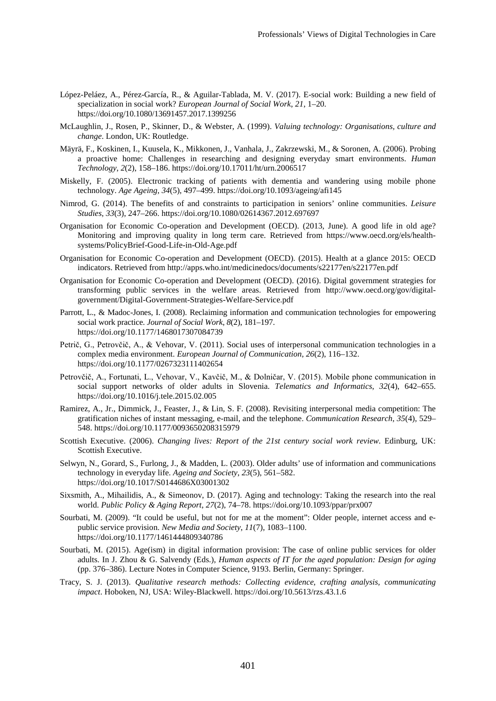- López-Peláez, A., Pérez-García, R., & Aguilar-Tablada, M. V. (2017). E-social work: Building a new field of specialization in social work? *European Journal of Social Work*, *21*, 1–20. https://doi.org/10.1080/13691457.2017.1399256
- McLaughlin, J., Rosen, P., Skinner, D., & Webster, A. (1999). *Valuing technology: Organisations, culture and change*. London, UK: Routledge.
- Mäyrä, F., Koskinen, I., Kuusela, K., Mikkonen, J., Vanhala, J., Zakrzewski, M., & Soronen, A. (2006). Probing a proactive home: Challenges in researching and designing everyday smart environments. *Human Technology*, *2*(2), 158–186[. https://doi.org/10.17011/ht/urn.2006517](https://doi.org/10.17011/ht/urn.2006517)
- Miskelly, F. (2005). Electronic tracking of patients with dementia and wandering using mobile phone technology. *Age Ageing*, *34*(5), 497–499. https://doi.org/10.1093/ageing/afi145
- Nimrod, G. (2014). The benefits of and constraints to participation in seniors' online communities. *Leisure Studies*, *33*(3), 247–266. https://doi.org/10.1080/02614367.2012.697697
- Organisation for Economic Co-operation and Development (OECD). (2013, June). A good life in old age? Monitoring and improving quality in long term care. Retrieved from [https://www.oecd.org/els/health](https://www.oecd.org/els/health-systems/PolicyBrief-Good-Life-in-Old-Age.pdf)[systems/PolicyBrief-Good-Life-in-Old-Age.pdf](https://www.oecd.org/els/health-systems/PolicyBrief-Good-Life-in-Old-Age.pdf)
- Organisation for Economic Co-operation and Development (OECD). (2015). Health at a glance 2015: OECD indicators. Retrieved from<http://apps.who.int/medicinedocs/documents/s22177en/s22177en.pdf>
- Organisation for Economic Co-operation and Development (OECD). (2016). Digital government strategies for transforming public services in the welfare areas. Retrieved from [http://www.oecd.org/gov/digital](http://www.oecd.org/gov/digital-government/Digital-Government-Strategies-Welfare-Service.pdf)[government/Digital-Government-Strategies-Welfare-Service.pdf](http://www.oecd.org/gov/digital-government/Digital-Government-Strategies-Welfare-Service.pdf)
- Parrott, L., & Madoc-Jones, I. (2008). Reclaiming information and communication technologies for empowering social work practice. *Journal of Social Work*, *8*(2), 181–197. https://doi.org/10.1177/1468017307084739
- Petrič, G., Petrovčič, A., & Vehovar, V. (2011). Social uses of interpersonal communication technologies in a complex media environment. *European Journal of Communication*, *26*(2), 116–132. https://doi.org/10.1177/0267323111402654
- Petrovčič, A., Fortunati, L., Vehovar, V., Kavčič, M., & Dolničar, V. (2015). Mobile phone communication in social support networks of older adults in Slovenia. *Telematics and Informatics*, *32*(4), 642–655. https://doi.org/10.1016/j.tele.2015.02.005
- Ramirez, A., Jr., Dimmick, J., Feaster, J., & Lin, S. F. (2008). Revisiting interpersonal media competition: The gratification niches of instant messaging, e-mail, and the telephone. *Communication Research*, *35*(4), 529– 548. https://doi.org/10.1177/0093650208315979
- Scottish Executive. (2006). *Changing lives: Report of the 21st century social work review*. Edinburg, UK: Scottish Executive.
- Selwyn, N., Gorard, S., Furlong, J., & Madden, L. (2003). Older adults' use of information and communications technology in everyday life. *Ageing and Society*, *23*(5), 561–582. <https://doi.org/10.1017/S0144686X03001302>
- Sixsmith, A., Mihailidis, A., & Simeonov, D. (2017). Aging and technology: Taking the research into the real world. *Public Policy & Aging Report*, *27*(2), 74–78. <https://doi.org/10.1093/ppar/prx007>
- Sourbati, M. (2009). "It could be useful, but not for me at the moment": Older people, internet access and epublic service provision. *New Media and Society*, *11*(7), 1083–1100. https://doi.org/10.1177/1461444809340786
- Sourbati, M. (2015). Age(ism) in digital information provision: The case of online public services for older adults. In J. Zhou & G. Salvendy (Eds.), *Human aspects of IT for the aged population: Design for aging* (pp. 376–386). Lecture Notes in Computer Science, 9193. Berlin, Germany: Springer.
- Tracy, S. J. (2013). *Qualitative research methods: Collecting evidence, crafting analysis, communicating impact*. Hoboken, NJ, USA: Wiley-Blackwell.<https://doi.org/10.5613/rzs.43.1.6>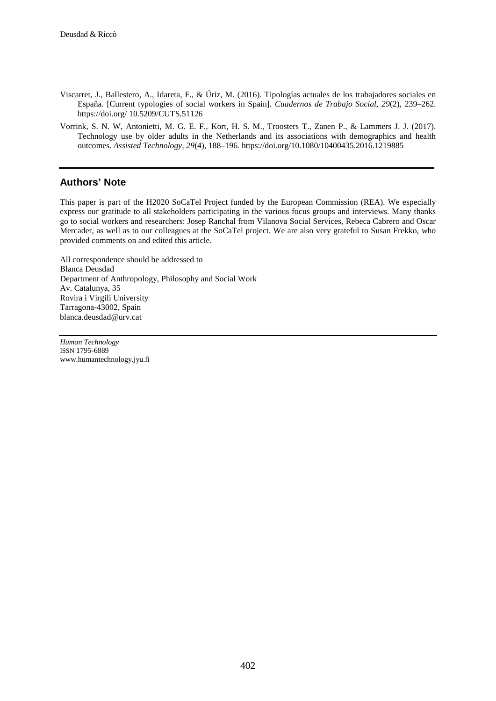- Viscarret, J., Ballestero, A., Idareta, F., & Úriz, M. (2016). Tipologías actuales de los trabajadores sociales en España. [Current typologies of social workers in Spain]. *Cuadernos de Trabajo Social*, *29*(2), 239–262. https://doi.org/ 10.5209/CUTS.51126
- Vorrink, S. N. W, Antonietti, M. G. E. F., Kort, H. S. M., Troosters T., Zanen P., & Lammers J. J. (2017). Technology use by older adults in the Netherlands and its associations with demographics and health outcomes. *Assisted Technology, 29*(4), 188–196*.* https://doi.org/10.1080/10400435.2016.1219885

### **Authors' Note**

This paper is part of the H2020 SoCaTel Project funded by the European Commission (REA). We especially express our gratitude to all stakeholders participating in the various focus groups and interviews. Many thanks go to social workers and researchers: Josep Ranchal from Vilanova Social Services, Rebeca Cabrero and Oscar Mercader, as well as to our colleagues at the SoCaTel project. We are also very grateful to Susan Frekko, who provided comments on and edited this article.

All correspondence should be addressed to Blanca Deusdad Department of Anthropology, Philosophy and Social Work Av. Catalunya, 35 Rovira i Virgili University Tarragona-43002, Spain [blanca.deusdad@urv.cat](mailto:blanca.deusdad@urv.cat)

*Human Technology* ISSN 1795-6889 www.humantechnology.jyu.fi